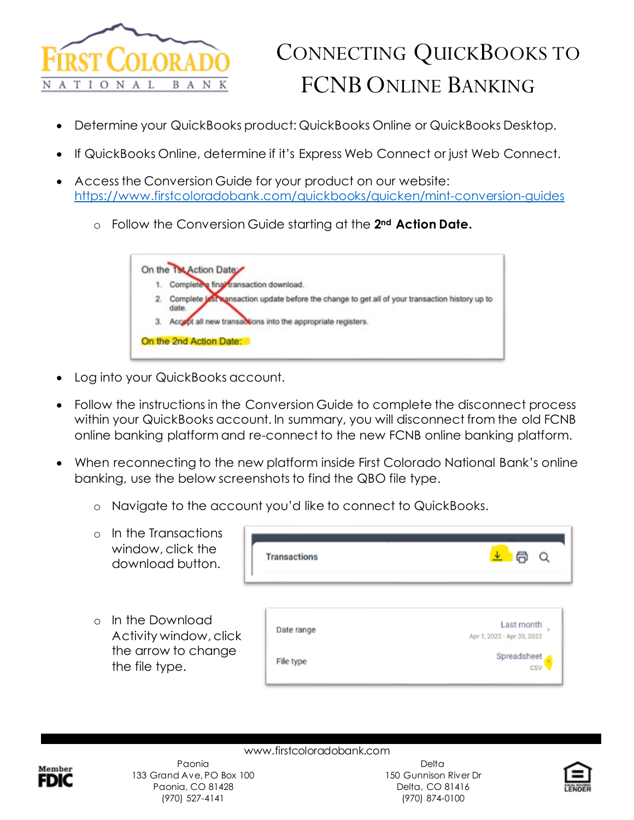

## CONNECTING QUICKBOOKS TO FCNB ONLINE BANKING

- Determine your QuickBooks product: QuickBooks Online or QuickBooks Desktop.
- If QuickBooks Online, determine if it's Express Web Connect or just Web Connect.
- Access the Conversion Guide for your product on our website: <https://www.firstcoloradobank.com/quickbooks/quicken/mint-conversion-guides>
	- o Follow the Conversion Guide starting at the **2nd Action Date.**



- Log into your QuickBooks account.
- Follow the instructions in the Conversion Guide to complete the disconnect process within your QuickBooks account. In summary, you will disconnect from the old FCNB online banking platform and re-connect to the new FCNB online banking platform.
- When reconnecting to the new platform inside First Colorado National Bank's online banking, use the below screenshots to find the QBO file type.
	- o Navigate to the account you'd like to connect to QuickBooks.
	- o In the Transactions window, click the download button.
	- o In the Download Activity window, cli the arrow to change the file type.

| <b>Transactions</b> |                                          |
|---------------------|------------------------------------------|
| Date range          | Last month<br>Apr 1, 2022 - Apr 30, 2022 |
| File type           | Spreadsheet<br>CSV                       |



www.firstcoloradobank.com Paonia 133 Grand Ave, PO Box 100 Paonia, CO 81428 (970) 527-4141

**Delta** 150 Gunnison River Dr Delta, CO 81416 (970) 874-0100